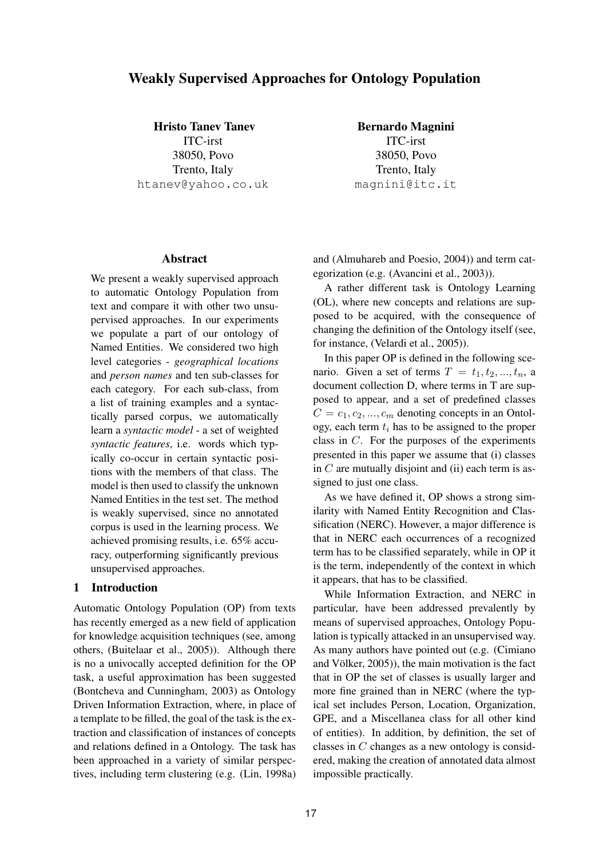# Weakly Supervised Approaches for Ontology Population

Hristo Tanev Tanev

ITC-irst 38050, Povo Trento, Italy htanev@yahoo.co.uk

Bernardo Magnini ITC-irst 38050, Povo Trento, Italy magnini@itc.it

#### Abstract

We present a weakly supervised approach to automatic Ontology Population from text and compare it with other two unsupervised approaches. In our experiments we populate a part of our ontology of Named Entities. We considered two high level categories - *geographical locations* and *person names* and ten sub-classes for each category. For each sub-class, from a list of training examples and a syntactically parsed corpus, we automatically learn a *syntactic model* - a set of weighted *syntactic features*, i.e. words which typically co-occur in certain syntactic positions with the members of that class. The model is then used to classify the unknown Named Entities in the test set. The method is weakly supervised, since no annotated corpus is used in the learning process. We achieved promising results, i.e. 65% accuracy, outperforming significantly previous unsupervised approaches.

## 1 Introduction

Automatic Ontology Population (OP) from texts has recently emerged as a new field of application for knowledge acquisition techniques (see, among others, (Buitelaar et al., 2005)). Although there is no a univocally accepted definition for the OP task, a useful approximation has been suggested (Bontcheva and Cunningham, 2003) as Ontology Driven Information Extraction, where, in place of a template to be filled, the goal of the task is the extraction and classification of instances of concepts and relations defined in a Ontology. The task has been approached in a variety of similar perspectives, including term clustering (e.g. (Lin, 1998a) and (Almuhareb and Poesio, 2004)) and term categorization (e.g. (Avancini et al., 2003)).

A rather different task is Ontology Learning (OL), where new concepts and relations are supposed to be acquired, with the consequence of changing the definition of the Ontology itself (see, for instance, (Velardi et al., 2005)).

In this paper OP is defined in the following scenario. Given a set of terms  $T = t_1, t_2, ..., t_n$ , a document collection D, where terms in T are supposed to appear, and a set of predefined classes  $C = c_1, c_2, ..., c_m$  denoting concepts in an Ontology, each term  $t_i$  has to be assigned to the proper class in  $C$ . For the purposes of the experiments presented in this paper we assume that (i) classes in  $C$  are mutually disjoint and (ii) each term is assigned to just one class.

As we have defined it, OP shows a strong similarity with Named Entity Recognition and Classification (NERC). However, a major difference is that in NERC each occurrences of a recognized term has to be classified separately, while in OP it is the term, independently of the context in which it appears, that has to be classified.

While Information Extraction, and NERC in particular, have been addressed prevalently by means of supervised approaches, Ontology Population is typically attacked in an unsupervised way. As many authors have pointed out (e.g. (Cimiano and Völker,  $2005$ ), the main motivation is the fact that in OP the set of classes is usually larger and more fine grained than in NERC (where the typical set includes Person, Location, Organization, GPE, and a Miscellanea class for all other kind of entities). In addition, by definition, the set of classes in  $C$  changes as a new ontology is considered, making the creation of annotated data almost impossible practically.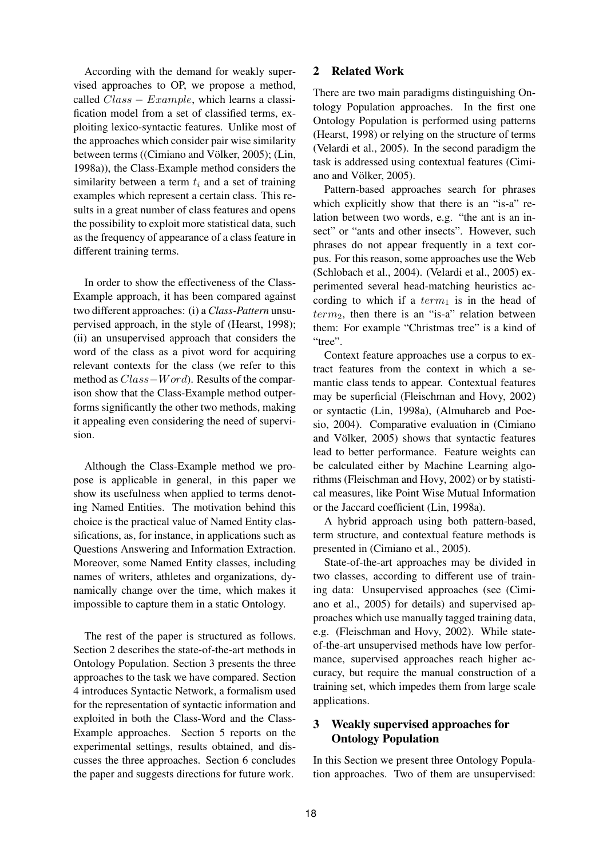According with the demand for weakly supervised approaches to OP, we propose a method, called  $Class - Example$ , which learns a classification model from a set of classified terms, exploiting lexico-syntactic features. Unlike most of the approaches which consider pair wise similarity between terms ((Cimiano and Völker, 2005); (Lin, 1998a)), the Class-Example method considers the similarity between a term  $t_i$  and a set of training examples which represent a certain class. This results in a great number of class features and opens the possibility to exploit more statistical data, such as the frequency of appearance of a class feature in different training terms.

In order to show the effectiveness of the Class-Example approach, it has been compared against two different approaches: (i) a *Class-Pattern* unsupervised approach, in the style of (Hearst, 1998); (ii) an unsupervised approach that considers the word of the class as a pivot word for acquiring relevant contexts for the class (we refer to this method as Class−Word). Results of the comparison show that the Class-Example method outperforms significantly the other two methods, making it appealing even considering the need of supervision.

Although the Class-Example method we propose is applicable in general, in this paper we show its usefulness when applied to terms denoting Named Entities. The motivation behind this choice is the practical value of Named Entity classifications, as, for instance, in applications such as Questions Answering and Information Extraction. Moreover, some Named Entity classes, including names of writers, athletes and organizations, dynamically change over the time, which makes it impossible to capture them in a static Ontology.

The rest of the paper is structured as follows. Section 2 describes the state-of-the-art methods in Ontology Population. Section 3 presents the three approaches to the task we have compared. Section 4 introduces Syntactic Network, a formalism used for the representation of syntactic information and exploited in both the Class-Word and the Class-Example approaches. Section 5 reports on the experimental settings, results obtained, and discusses the three approaches. Section 6 concludes the paper and suggests directions for future work.

## 2 Related Work

There are two main paradigms distinguishing Ontology Population approaches. In the first one Ontology Population is performed using patterns (Hearst, 1998) or relying on the structure of terms (Velardi et al., 2005). In the second paradigm the task is addressed using contextual features (Cimiano and Völker, 2005).

Pattern-based approaches search for phrases which explicitly show that there is an "is-a" relation between two words, e.g. "the ant is an insect" or "ants and other insects". However, such phrases do not appear frequently in a text corpus. For this reason, some approaches use the Web (Schlobach et al., 2004). (Velardi et al., 2005) experimented several head-matching heuristics according to which if a  $term_1$  is in the head of  $term<sub>2</sub>$ , then there is an "is-a" relation between them: For example "Christmas tree" is a kind of "tree".

Context feature approaches use a corpus to extract features from the context in which a semantic class tends to appear. Contextual features may be superficial (Fleischman and Hovy, 2002) or syntactic (Lin, 1998a), (Almuhareb and Poesio, 2004). Comparative evaluation in (Cimiano and Völker, 2005) shows that syntactic features lead to better performance. Feature weights can be calculated either by Machine Learning algorithms (Fleischman and Hovy, 2002) or by statistical measures, like Point Wise Mutual Information or the Jaccard coefficient (Lin, 1998a).

A hybrid approach using both pattern-based, term structure, and contextual feature methods is presented in (Cimiano et al., 2005).

State-of-the-art approaches may be divided in two classes, according to different use of training data: Unsupervised approaches (see (Cimiano et al., 2005) for details) and supervised approaches which use manually tagged training data, e.g. (Fleischman and Hovy, 2002). While stateof-the-art unsupervised methods have low performance, supervised approaches reach higher accuracy, but require the manual construction of a training set, which impedes them from large scale applications.

# 3 Weakly supervised approaches for Ontology Population

In this Section we present three Ontology Population approaches. Two of them are unsupervised: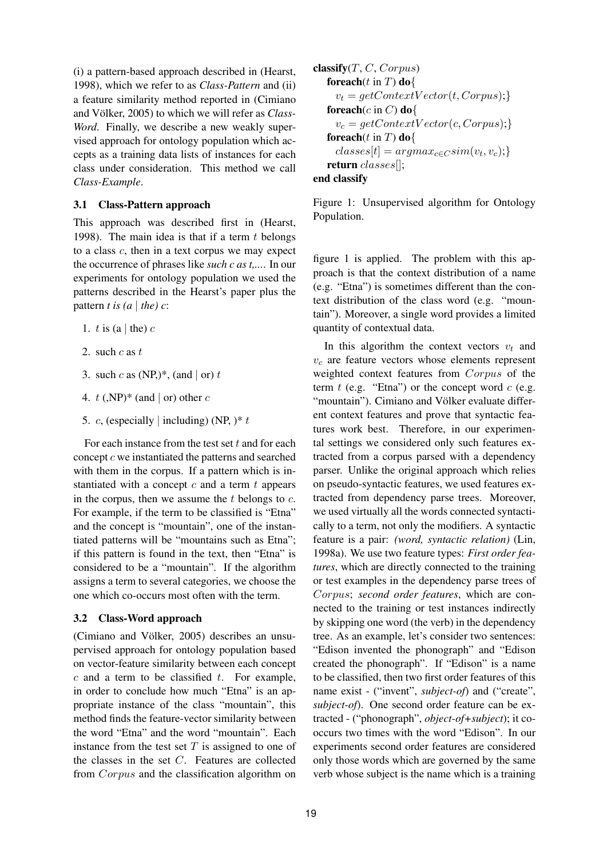(i) a pattern-based approach described in (Hearst, 1998), which we refer to as *Class-Pattern* and (ii) a feature similarity method reported in (Cimiano and Völker, 2005) to which we will refer as *Class-Word*. Finally, we describe a new weakly supervised approach for ontology population which accepts as a training data lists of instances for each class under consideration. This method we call *Class-Example*.

## 3.1 Class-Pattern approach

This approach was described first in (Hearst, 1998). The main idea is that if a term  $t$  belongs to a class  $c$ , then in a text corpus we may expect the occurrence of phrases like *such c as t,...*. In our experiments for ontology population we used the patterns described in the Hearst's paper plus the pattern *t* is  $(a | the) c$ :

- 1. t is (a | the)  $c$
- 2. such  $c$  as  $t$
- 3. such c as  $(NP,)*$ , (and | or) t
- 4.  $t$  (,NP)\* (and | or) other c
- 5. c, (especially | including) (NP,  $)*t$

For each instance from the test set  $t$  and for each concept c we instantiated the patterns and searched with them in the corpus. If a pattern which is instantiated with a concept  $c$  and a term  $t$  appears in the corpus, then we assume the  $t$  belongs to  $c$ . For example, if the term to be classified is "Etna" and the concept is "mountain", one of the instantiated patterns will be "mountains such as Etna"; if this pattern is found in the text, then "Etna" is considered to be a "mountain". If the algorithm assigns a term to several categories, we choose the one which co-occurs most often with the term.

### 3.2 Class-Word approach

(Cimiano and Völker, 2005) describes an unsupervised approach for ontology population based on vector-feature similarity between each concept  $c$  and a term to be classified  $t$ . For example, in order to conclude how much "Etna" is an appropriate instance of the class "mountain", this method finds the feature-vector similarity between the word "Etna" and the word "mountain". Each instance from the test set  $T$  is assigned to one of the classes in the set C. Features are collected from Corpus and the classification algorithm on

```
\nclassify(T, C, Corpus)\n    forecast() in T) do{\n    
$$
v_t = getContextVector(t, Corpus); \}
$$
\n    forecast() do{\n    
$$
v_c = getContextVector(c, Corpus); \}
$$
\n    forecast() in T) do{\n    classes[t] = argmax_{c \in C}^{sim}(v_t, v_c); \}\n    return classes[];\nend classify\n
```

Figure 1: Unsupervised algorithm for Ontology Population.

figure 1 is applied. The problem with this approach is that the context distribution of a name (e.g. "Etna") is sometimes different than the context distribution of the class word (e.g. "mountain"). Moreover, a single word provides a limited quantity of contextual data.

In this algorithm the context vectors  $v_t$  and  $v_c$  are feature vectors whose elements represent weighted context features from Corpus of the term  $t$  (e.g. "Etna") or the concept word  $c$  (e.g. "mountain"). Cimiano and Völker evaluate different context features and prove that syntactic features work best. Therefore, in our experimental settings we considered only such features extracted from a corpus parsed with a dependency parser. Unlike the original approach which relies on pseudo-syntactic features, we used features extracted from dependency parse trees. Moreover, we used virtually all the words connected syntactically to a term, not only the modifiers. A syntactic feature is a pair: *(word, syntactic relation)* (Lin, 1998a). We use two feature types: *First order features*, which are directly connected to the training or test examples in the dependency parse trees of Corpus; *second order features*, which are connected to the training or test instances indirectly by skipping one word (the verb) in the dependency tree. As an example, let's consider two sentences: "Edison invented the phonograph" and "Edison created the phonograph". If "Edison" is a name to be classified, then two first order features of this name exist - ("invent", *subject-of*) and ("create", *subject-of*). One second order feature can be extracted - ("phonograph", *object-of+subject*); it cooccurs two times with the word "Edison". In our experiments second order features are considered only those words which are governed by the same verb whose subject is the name which is a training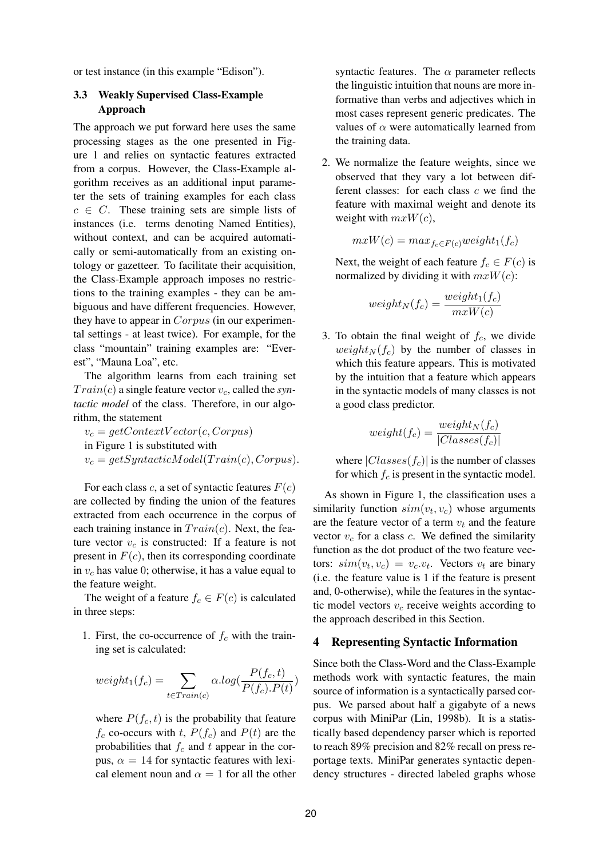or test instance (in this example "Edison").

## 3.3 Weakly Supervised Class-Example Approach

The approach we put forward here uses the same processing stages as the one presented in Figure 1 and relies on syntactic features extracted from a corpus. However, the Class-Example algorithm receives as an additional input parameter the sets of training examples for each class  $c \in C$ . These training sets are simple lists of instances (i.e. terms denoting Named Entities), without context, and can be acquired automatically or semi-automatically from an existing ontology or gazetteer. To facilitate their acquisition, the Class-Example approach imposes no restrictions to the training examples - they can be ambiguous and have different frequencies. However, they have to appear in *Corpus* (in our experimental settings - at least twice). For example, for the class "mountain" training examples are: "Everest", "Mauna Loa", etc.

The algorithm learns from each training set  $Train(c)$  a single feature vector  $v_c$ , called the *syntactic model* of the class. Therefore, in our algorithm, the statement

 $v_c = getContextVector(c, Corpus)$ in Figure 1 is substituted with  $v_c = getSyntactic Model(Train(c), Corpus).$ 

For each class c, a set of syntactic features  $F(c)$ are collected by finding the union of the features extracted from each occurrence in the corpus of each training instance in  $Train(c)$ . Next, the feature vector  $v_c$  is constructed: If a feature is not present in  $F(c)$ , then its corresponding coordinate in  $v_c$  has value 0; otherwise, it has a value equal to the feature weight.

The weight of a feature  $f_c \in F(c)$  is calculated in three steps:

1. First, the co-occurrence of  $f_c$  with the training set is calculated:

$$
weight_1(f_c) = \sum_{t \in Train(c)} \alpha.log(\frac{P(f_c, t)}{P(f_c).P(t)})
$$

where  $P(f_c, t)$  is the probability that feature  $f_c$  co-occurs with t,  $P(f_c)$  and  $P(t)$  are the probabilities that  $f_c$  and t appear in the corpus,  $\alpha = 14$  for syntactic features with lexical element noun and  $\alpha = 1$  for all the other syntactic features. The  $\alpha$  parameter reflects the linguistic intuition that nouns are more informative than verbs and adjectives which in most cases represent generic predicates. The values of  $\alpha$  were automatically learned from the training data.

2. We normalize the feature weights, since we observed that they vary a lot between different classes: for each class  $c$  we find the feature with maximal weight and denote its weight with  $mxW(c)$ ,

$$
mxW(c) = max_{f_c \in F(c)} weight_1(f_c)
$$

Next, the weight of each feature  $f_c \in F(c)$  is normalized by dividing it with  $mxW(c)$ :

$$
weight_N(f_c) = \frac{weight_1(f_c)}{mxW(c)}
$$

3. To obtain the final weight of  $f_c$ , we divide  $weight_N(f_c)$  by the number of classes in which this feature appears. This is motivated by the intuition that a feature which appears in the syntactic models of many classes is not a good class predictor.

$$
weight(f_c) = \frac{weight_N(f_c)}{|Classes(f_c)|}
$$

where  $|Classes(f_c)|$  is the number of classes for which  $f_c$  is present in the syntactic model.

As shown in Figure 1, the classification uses a similarity function  $sim(v_t, v_c)$  whose arguments are the feature vector of a term  $v_t$  and the feature vector  $v_c$  for a class  $c$ . We defined the similarity function as the dot product of the two feature vectors:  $sim(v_t, v_c) = v_c.v_t$ . Vectors  $v_t$  are binary (i.e. the feature value is 1 if the feature is present and, 0-otherwise), while the features in the syntactic model vectors  $v_c$  receive weights according to the approach described in this Section.

#### 4 Representing Syntactic Information

Since both the Class-Word and the Class-Example methods work with syntactic features, the main source of information is a syntactically parsed corpus. We parsed about half a gigabyte of a news corpus with MiniPar (Lin, 1998b). It is a statistically based dependency parser which is reported to reach 89% precision and 82% recall on press reportage texts. MiniPar generates syntactic dependency structures - directed labeled graphs whose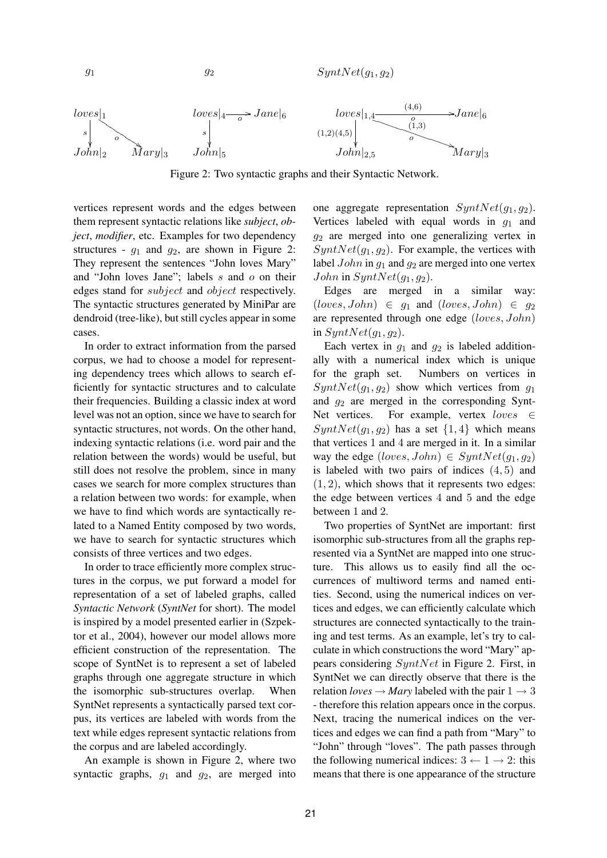$g_1$  g<sub>2</sub>  $SymbNet(q_1,q_2)$ 



Figure 2: Two syntactic graphs and their Syntactic Network.

vertices represent words and the edges between them represent syntactic relations like *subject*, *object*, *modifier*, etc. Examples for two dependency structures -  $g_1$  and  $g_2$ , are shown in Figure 2: They represent the sentences "John loves Mary" and "John loves Jane"; labels s and o on their edges stand for subject and object respectively. The syntactic structures generated by MiniPar are dendroid (tree-like), but still cycles appear in some cases.

In order to extract information from the parsed corpus, we had to choose a model for representing dependency trees which allows to search efficiently for syntactic structures and to calculate their frequencies. Building a classic index at word level was not an option, since we have to search for syntactic structures, not words. On the other hand, indexing syntactic relations (i.e. word pair and the relation between the words) would be useful, but still does not resolve the problem, since in many cases we search for more complex structures than a relation between two words: for example, when we have to find which words are syntactically related to a Named Entity composed by two words, we have to search for syntactic structures which consists of three vertices and two edges.

In order to trace efficiently more complex structures in the corpus, we put forward a model for representation of a set of labeled graphs, called *Syntactic Network* (*SyntNet* for short). The model is inspired by a model presented earlier in (Szpektor et al., 2004), however our model allows more efficient construction of the representation. The scope of SyntNet is to represent a set of labeled graphs through one aggregate structure in which the isomorphic sub-structures overlap. When SyntNet represents a syntactically parsed text corpus, its vertices are labeled with words from the text while edges represent syntactic relations from the corpus and are labeled accordingly.

An example is shown in Figure 2, where two syntactic graphs,  $g_1$  and  $g_2$ , are merged into

one aggregate representation  $SynthNet(q_1,q_2)$ . Vertices labeled with equal words in  $q_1$  and  $g_2$  are merged into one generalizing vertex in  $SynthNet(g_1, g_2)$ . For example, the vertices with label  $John$  in  $g_1$  and  $g_2$  are merged into one vertex John in  $SynthNet(g_1,g_2)$ .

Edges are merged in a similar way:  $(loves, John) \in g_1$  and  $(loves, John) \in g_2$ are represented through one edge (loves, John) in  $SynthNet(g_1,g_2)$ .

Each vertex in  $g_1$  and  $g_2$  is labeled additionally with a numerical index which is unique for the graph set. Numbers on vertices in  $SynthNet(q_1,q_2)$  show which vertices from  $q_1$ and  $g_2$  are merged in the corresponding Synt-Net vertices. For example, vertex loves ∈  $SynthNet(g_1, g_2)$  has a set  $\{1, 4\}$  which means that vertices 1 and 4 are merged in it. In a similar way the edge  $(loves, John) \in SynNet(g_1, g_2)$ is labeled with two pairs of indices  $(4, 5)$  and  $(1, 2)$ , which shows that it represents two edges: the edge between vertices 4 and 5 and the edge between 1 and 2.

Two properties of SyntNet are important: first isomorphic sub-structures from all the graphs represented via a SyntNet are mapped into one structure. This allows us to easily find all the occurrences of multiword terms and named entities. Second, using the numerical indices on vertices and edges, we can efficiently calculate which structures are connected syntactically to the training and test terms. As an example, let's try to calculate in which constructions the word "Mary" appears considering SyntNet in Figure 2. First, in SyntNet we can directly observe that there is the relation *loves*  $\rightarrow$  *Mary* labeled with the pair  $1 \rightarrow 3$ - therefore this relation appears once in the corpus. Next, tracing the numerical indices on the vertices and edges we can find a path from "Mary" to "John" through "loves". The path passes through the following numerical indices:  $3 \leftarrow 1 \rightarrow 2$ : this means that there is one appearance of the structure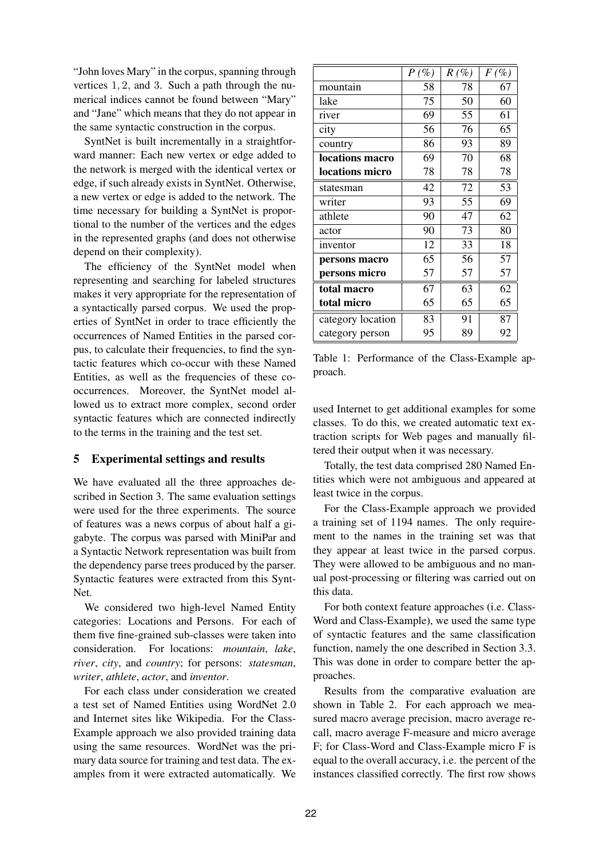"John loves Mary" in the corpus, spanning through vertices 1, 2, and 3. Such a path through the numerical indices cannot be found between "Mary" and "Jane" which means that they do not appear in the same syntactic construction in the corpus.

SyntNet is built incrementally in a straightforward manner: Each new vertex or edge added to the network is merged with the identical vertex or edge, if such already exists in SyntNet. Otherwise, a new vertex or edge is added to the network. The time necessary for building a SyntNet is proportional to the number of the vertices and the edges in the represented graphs (and does not otherwise depend on their complexity).

The efficiency of the SyntNet model when representing and searching for labeled structures makes it very appropriate for the representation of a syntactically parsed corpus. We used the properties of SyntNet in order to trace efficiently the occurrences of Named Entities in the parsed corpus, to calculate their frequencies, to find the syntactic features which co-occur with these Named Entities, as well as the frequencies of these cooccurrences. Moreover, the SyntNet model allowed us to extract more complex, second order syntactic features which are connected indirectly to the terms in the training and the test set.

### 5 Experimental settings and results

We have evaluated all the three approaches described in Section 3. The same evaluation settings were used for the three experiments. The source of features was a news corpus of about half a gigabyte. The corpus was parsed with MiniPar and a Syntactic Network representation was built from the dependency parse trees produced by the parser. Syntactic features were extracted from this Synt-Net.

We considered two high-level Named Entity categories: Locations and Persons. For each of them five fine-grained sub-classes were taken into consideration. For locations: *mountain*, *lake*, *river*, *city*, and *country*; for persons: *statesman*, *writer*, *athlete*, *actor*, and *inventor*.

For each class under consideration we created a test set of Named Entities using WordNet 2.0 and Internet sites like Wikipedia. For the Class-Example approach we also provided training data using the same resources. WordNet was the primary data source for training and test data. The examples from it were extracted automatically. We

|                   | $P(\%)$ | $R(\%)$ | $F(\%)$ |
|-------------------|---------|---------|---------|
| mountain          | 58      | 78      | 67      |
| lake              | 75      | 50      | 60      |
| river             | 69      | 55      | 61      |
| city              | 56      | 76      | 65      |
| country           | 86      | 93      | 89      |
| locations macro   | 69      | 70      | 68      |
| locations micro   | 78      | 78      | 78      |
| statesman         | 42      | 72      | 53      |
| writer            | 93      | 55      | 69      |
| athlete           | 90      | 47      | 62      |
| actor             | 90      | 73      | 80      |
| inventor          | 12      | 33      | 18      |
| persons macro     | 65      | 56      | 57      |
| persons micro     | 57      | 57      | 57      |
| total macro       | 67      | 63      | 62      |
| total micro       | 65      | 65      | 65      |
| category location | 83      | 91      | 87      |
| category person   | 95      | 89      | 92      |

Table 1: Performance of the Class-Example approach.

used Internet to get additional examples for some classes. To do this, we created automatic text extraction scripts for Web pages and manually filtered their output when it was necessary.

Totally, the test data comprised 280 Named Entities which were not ambiguous and appeared at least twice in the corpus.

For the Class-Example approach we provided a training set of 1194 names. The only requirement to the names in the training set was that they appear at least twice in the parsed corpus. They were allowed to be ambiguous and no manual post-processing or filtering was carried out on this data.

For both context feature approaches (i.e. Class-Word and Class-Example), we used the same type of syntactic features and the same classification function, namely the one described in Section 3.3. This was done in order to compare better the approaches.

Results from the comparative evaluation are shown in Table 2. For each approach we measured macro average precision, macro average recall, macro average F-measure and micro average F; for Class-Word and Class-Example micro F is equal to the overall accuracy, i.e. the percent of the instances classified correctly. The first row shows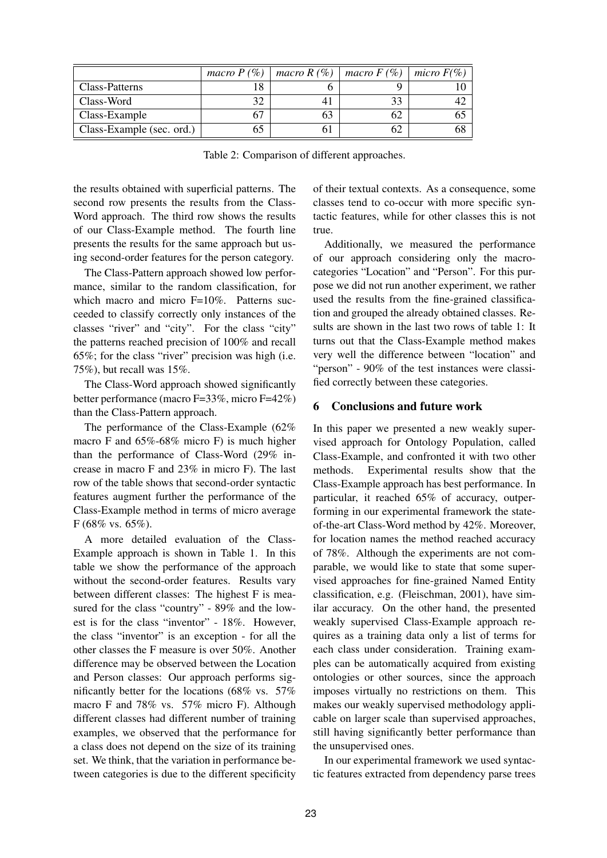|                           | macro $P(\%)$ | macro $R(\%)$ | macro $F(\%)$ | micro $F(\%)$ |
|---------------------------|---------------|---------------|---------------|---------------|
| Class-Patterns            |               |               |               |               |
| Class-Word                |               |               |               |               |
| Class-Example             |               |               |               |               |
| Class-Example (sec. ord.) | 0.            |               |               |               |

Table 2: Comparison of different approaches.

the results obtained with superficial patterns. The second row presents the results from the Class-Word approach. The third row shows the results of our Class-Example method. The fourth line presents the results for the same approach but using second-order features for the person category.

The Class-Pattern approach showed low performance, similar to the random classification, for which macro and micro F=10%. Patterns succeeded to classify correctly only instances of the classes "river" and "city". For the class "city" the patterns reached precision of 100% and recall 65%; for the class "river" precision was high (i.e. 75%), but recall was 15%.

The Class-Word approach showed significantly better performance (macro F=33%, micro F=42%) than the Class-Pattern approach.

The performance of the Class-Example (62% macro F and 65%-68% micro F) is much higher than the performance of Class-Word (29% increase in macro F and 23% in micro F). The last row of the table shows that second-order syntactic features augment further the performance of the Class-Example method in terms of micro average F (68% vs. 65%).

A more detailed evaluation of the Class-Example approach is shown in Table 1. In this table we show the performance of the approach without the second-order features. Results vary between different classes: The highest F is measured for the class "country" - 89% and the lowest is for the class "inventor" - 18%. However, the class "inventor" is an exception - for all the other classes the F measure is over 50%. Another difference may be observed between the Location and Person classes: Our approach performs significantly better for the locations (68% vs. 57% macro F and 78% vs. 57% micro F). Although different classes had different number of training examples, we observed that the performance for a class does not depend on the size of its training set. We think, that the variation in performance between categories is due to the different specificity of their textual contexts. As a consequence, some classes tend to co-occur with more specific syntactic features, while for other classes this is not true.

Additionally, we measured the performance of our approach considering only the macrocategories "Location" and "Person". For this purpose we did not run another experiment, we rather used the results from the fine-grained classification and grouped the already obtained classes. Results are shown in the last two rows of table 1: It turns out that the Class-Example method makes very well the difference between "location" and "person" - 90% of the test instances were classified correctly between these categories.

### 6 Conclusions and future work

In this paper we presented a new weakly supervised approach for Ontology Population, called Class-Example, and confronted it with two other methods. Experimental results show that the Class-Example approach has best performance. In particular, it reached 65% of accuracy, outperforming in our experimental framework the stateof-the-art Class-Word method by 42%. Moreover, for location names the method reached accuracy of 78%. Although the experiments are not comparable, we would like to state that some supervised approaches for fine-grained Named Entity classification, e.g. (Fleischman, 2001), have similar accuracy. On the other hand, the presented weakly supervised Class-Example approach requires as a training data only a list of terms for each class under consideration. Training examples can be automatically acquired from existing ontologies or other sources, since the approach imposes virtually no restrictions on them. This makes our weakly supervised methodology applicable on larger scale than supervised approaches, still having significantly better performance than the unsupervised ones.

In our experimental framework we used syntactic features extracted from dependency parse trees